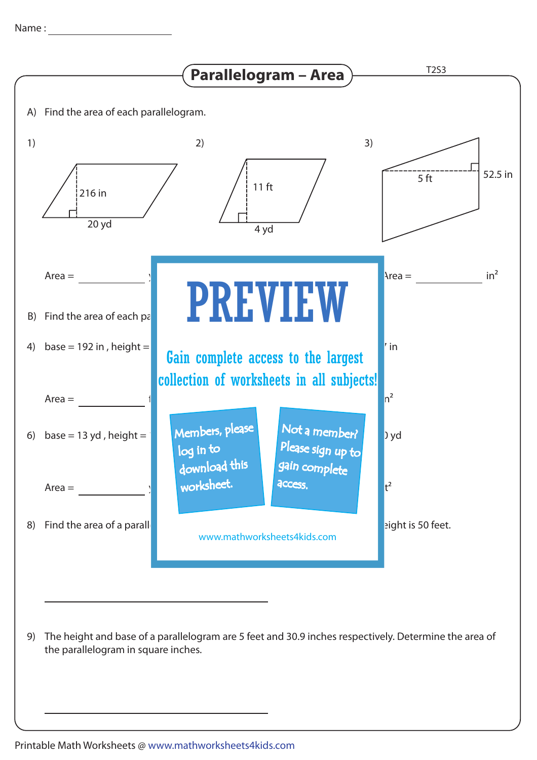

The height and base of a parallelogram are 5 feet and 30.9 inches respectively. Determine the area of 9) the parallelogram in square inches.